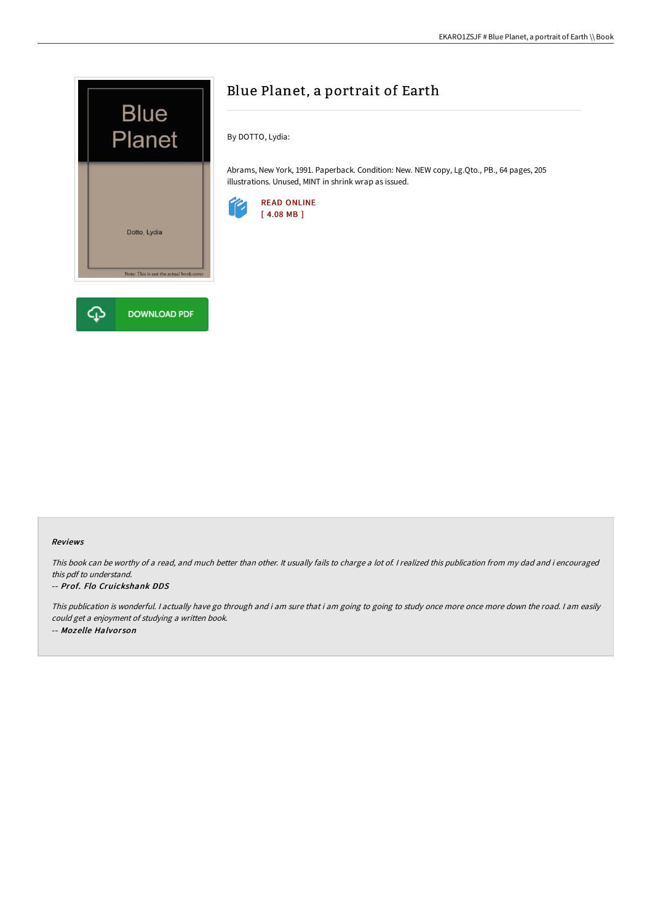

# Blue Planet, a portrait of Earth

By DOTTO, Lydia:

Abrams, New York, 1991. Paperback. Condition: New. NEW copy, Lg.Qto., PB., 64 pages, 205 illustrations. Unused, MINT in shrink wrap as issued.



### Reviews

This book can be worthy of <sup>a</sup> read, and much better than other. It usually fails to charge <sup>a</sup> lot of. <sup>I</sup> realized this publication from my dad and i encouraged this pdf to understand.

#### -- Prof. Flo Cruickshank DDS

This publication is wonderful. <sup>I</sup> actually have go through and i am sure that i am going to going to study once more once more down the road. <sup>I</sup> am easily could get <sup>a</sup> enjoyment of studying <sup>a</sup> written book. -- Mozelle Halvor son